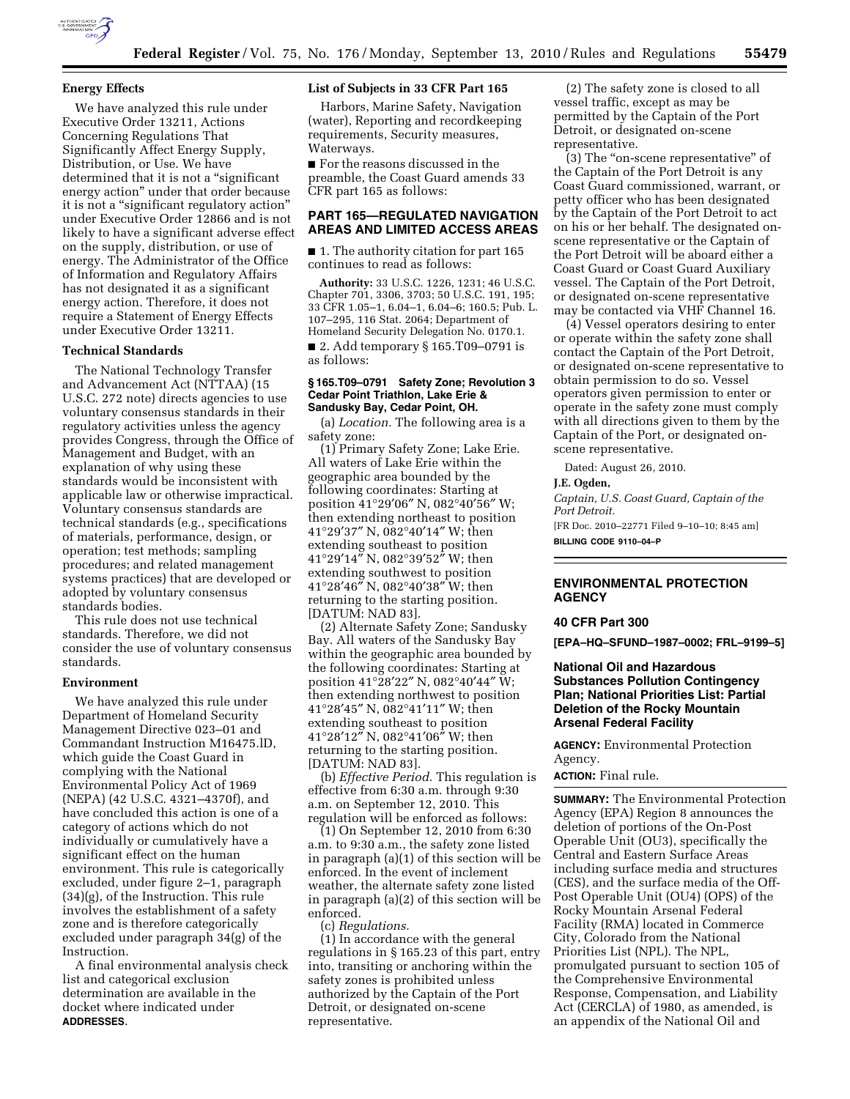

## **Energy Effects**

We have analyzed this rule under Executive Order 13211, Actions Concerning Regulations That Significantly Affect Energy Supply, Distribution, or Use. We have determined that it is not a ''significant energy action'' under that order because it is not a "significant regulatory action" under Executive Order 12866 and is not likely to have a significant adverse effect on the supply, distribution, or use of energy. The Administrator of the Office of Information and Regulatory Affairs has not designated it as a significant energy action. Therefore, it does not require a Statement of Energy Effects under Executive Order 13211.

## **Technical Standards**

The National Technology Transfer and Advancement Act (NTTAA) (15 U.S.C. 272 note) directs agencies to use voluntary consensus standards in their regulatory activities unless the agency provides Congress, through the Office of Management and Budget, with an explanation of why using these standards would be inconsistent with applicable law or otherwise impractical. Voluntary consensus standards are technical standards (e.g., specifications of materials, performance, design, or operation; test methods; sampling procedures; and related management systems practices) that are developed or adopted by voluntary consensus standards bodies.

This rule does not use technical standards. Therefore, we did not consider the use of voluntary consensus standards.

#### **Environment**

We have analyzed this rule under Department of Homeland Security Management Directive 023–01 and Commandant Instruction M16475.lD, which guide the Coast Guard in complying with the National Environmental Policy Act of 1969 (NEPA) (42 U.S.C. 4321–4370f), and have concluded this action is one of a category of actions which do not individually or cumulatively have a significant effect on the human environment. This rule is categorically excluded, under figure 2–1, paragraph (34)(g), of the Instruction. This rule involves the establishment of a safety zone and is therefore categorically excluded under paragraph 34(g) of the Instruction.

A final environmental analysis check list and categorical exclusion determination are available in the docket where indicated under **ADDRESSES**.

## **List of Subjects in 33 CFR Part 165**

Harbors, Marine Safety, Navigation (water), Reporting and recordkeeping requirements, Security measures, Waterways.

■ For the reasons discussed in the preamble, the Coast Guard amends 33 CFR part 165 as follows:

## **PART 165—REGULATED NAVIGATION AREAS AND LIMITED ACCESS AREAS**

■ 1. The authority citation for part 165 continues to read as follows:

**Authority:** 33 U.S.C. 1226, 1231; 46 U.S.C. Chapter 701, 3306, 3703; 50 U.S.C. 191, 195; 33 CFR 1.05–1, 6.04–1, 6.04–6; 160.5; Pub. L. 107–295, 116 Stat. 2064; Department of Homeland Security Delegation No. 0170.1. ■ 2. Add temporary § 165.T09–0791 is

as follows:

## **§ 165.T09–0791 Safety Zone; Revolution 3 Cedar Point Triathlon, Lake Erie & Sandusky Bay, Cedar Point, OH.**

(a) *Location.* The following area is a safety zone:

(1) Primary Safety Zone; Lake Erie. All waters of Lake Erie within the geographic area bounded by the following coordinates: Starting at position 41°29′06″ N, 082°40′56″ W; then extending northeast to position 41°29′37″ N, 082°40′14″ W; then extending southeast to position 41°29′14″ N, 082°39′52″ W; then extending southwest to position 41°28′46″ N, 082°40′38″ W; then returning to the starting position. [DATUM: NAD 83].

(2) Alternate Safety Zone; Sandusky Bay. All waters of the Sandusky Bay within the geographic area bounded by the following coordinates: Starting at position 41°28′22″ N, 082°40′44″ W; then extending northwest to position 41°28′45″ N, 082°41′11″ W; then extending southeast to position 41°28′12″ N, 082°41′06″ W; then returning to the starting position. [DATUM: NAD 83].

(b) *Effective Period.* This regulation is effective from 6:30 a.m. through 9:30 a.m. on September 12, 2010. This regulation will be enforced as follows:

(1) On September 12, 2010 from 6:30 a.m. to 9:30 a.m., the safety zone listed in paragraph (a)(1) of this section will be enforced. In the event of inclement weather, the alternate safety zone listed in paragraph (a)(2) of this section will be enforced.

(c) *Regulations.* 

(1) In accordance with the general regulations in § 165.23 of this part, entry into, transiting or anchoring within the safety zones is prohibited unless authorized by the Captain of the Port Detroit, or designated on-scene representative.

(2) The safety zone is closed to all vessel traffic, except as may be permitted by the Captain of the Port Detroit, or designated on-scene representative.

(3) The ''on-scene representative'' of the Captain of the Port Detroit is any Coast Guard commissioned, warrant, or petty officer who has been designated by the Captain of the Port Detroit to act on his or her behalf. The designated onscene representative or the Captain of the Port Detroit will be aboard either a Coast Guard or Coast Guard Auxiliary vessel. The Captain of the Port Detroit, or designated on-scene representative may be contacted via VHF Channel 16.

(4) Vessel operators desiring to enter or operate within the safety zone shall contact the Captain of the Port Detroit, or designated on-scene representative to obtain permission to do so. Vessel operators given permission to enter or operate in the safety zone must comply with all directions given to them by the Captain of the Port, or designated onscene representative.

Dated: August 26, 2010.

#### **J.E. Ogden,**

*Captain, U.S. Coast Guard, Captain of the Port Detroit.* 

[FR Doc. 2010–22771 Filed 9–10–10; 8:45 am] **BILLING CODE 9110–04–P** 

**ENVIRONMENTAL PROTECTION AGENCY** 

## **40 CFR Part 300**

**[EPA–HQ–SFUND–1987–0002; FRL–9199–5]** 

## **National Oil and Hazardous Substances Pollution Contingency Plan; National Priorities List: Partial Deletion of the Rocky Mountain Arsenal Federal Facility**

**AGENCY:** Environmental Protection Agency.

#### **ACTION:** Final rule.

**SUMMARY:** The Environmental Protection Agency (EPA) Region 8 announces the deletion of portions of the On-Post Operable Unit (OU3), specifically the Central and Eastern Surface Areas including surface media and structures (CES), and the surface media of the Off-Post Operable Unit (OU4) (OPS) of the Rocky Mountain Arsenal Federal Facility (RMA) located in Commerce City, Colorado from the National Priorities List (NPL). The NPL, promulgated pursuant to section 105 of the Comprehensive Environmental Response, Compensation, and Liability Act (CERCLA) of 1980, as amended, is an appendix of the National Oil and